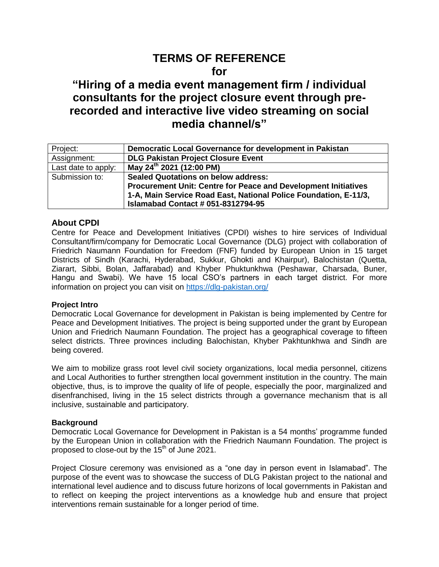# **TERMS OF REFERENCE for**

# **"Hiring of a media event management firm / individual consultants for the project closure event through prerecorded and interactive live video streaming on social media channel/s"**

| Project:            | Democratic Local Governance for development in Pakistan               |  |  |
|---------------------|-----------------------------------------------------------------------|--|--|
| Assignment:         | <b>DLG Pakistan Project Closure Event</b>                             |  |  |
| Last date to apply: | May 24 <sup>th</sup> 2021 (12:00 PM)                                  |  |  |
| Submission to:      | <b>Sealed Quotations on below address:</b>                            |  |  |
|                     | <b>Procurement Unit: Centre for Peace and Development Initiatives</b> |  |  |
|                     | 1-A, Main Service Road East, National Police Foundation, E-11/3,      |  |  |
|                     | <b>Islamabad Contact # 051-8312794-95</b>                             |  |  |

# **About CPDI**

Centre for Peace and Development Initiatives (CPDI) wishes to hire services of Individual Consultant/firm/company for Democratic Local Governance (DLG) project with collaboration of Friedrich Naumann Foundation for Freedom (FNF) funded by European Union in 15 target Districts of Sindh (Karachi, Hyderabad, Sukkur, Ghokti and Khairpur), Balochistan (Quetta, Ziarart, Sibbi, Bolan, Jaffarabad) and Khyber Phuktunkhwa (Peshawar, Charsada, Buner, Hangu and Swabi). We have 15 local CSO's partners in each target district. For more information on project you can visit on<https://dlg-pakistan.org/>

## **Project Intro**

Democratic Local Governance for development in Pakistan is being implemented by Centre for Peace and Development Initiatives. The project is being supported under the grant by European Union and Friedrich Naumann Foundation. The project has a geographical coverage to fifteen select districts. Three provinces including Balochistan, Khyber Pakhtunkhwa and Sindh are being covered.

We aim to mobilize grass root level civil society organizations, local media personnel, citizens and Local Authorities to further strengthen local government institution in the country. The main objective, thus, is to improve the quality of life of people, especially the poor, marginalized and disenfranchised, living in the 15 select districts through a governance mechanism that is all inclusive, sustainable and participatory.

#### **Background**

Democratic Local Governance for Development in Pakistan is a 54 months' programme funded by the European Union in collaboration with the Friedrich Naumann Foundation. The project is proposed to close-out by the  $15<sup>th</sup>$  of June 2021.

Project Closure ceremony was envisioned as a "one day in person event in Islamabad". The purpose of the event was to showcase the success of DLG Pakistan project to the national and international level audience and to discuss future horizons of local governments in Pakistan and to reflect on keeping the project interventions as a knowledge hub and ensure that project interventions remain sustainable for a longer period of time.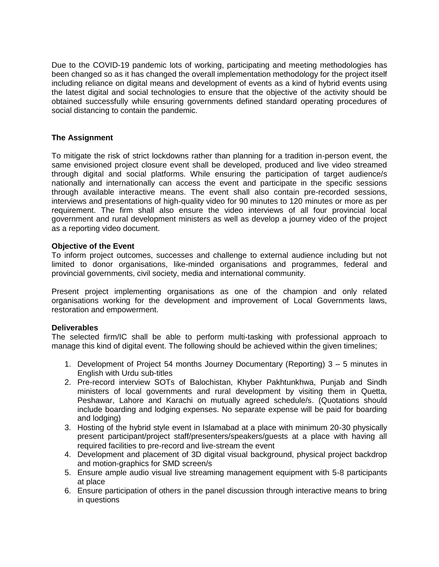Due to the COVID-19 pandemic lots of working, participating and meeting methodologies has been changed so as it has changed the overall implementation methodology for the project itself including reliance on digital means and development of events as a kind of hybrid events using the latest digital and social technologies to ensure that the objective of the activity should be obtained successfully while ensuring governments defined standard operating procedures of social distancing to contain the pandemic.

# **The Assignment**

To mitigate the risk of strict lockdowns rather than planning for a tradition in-person event, the same envisioned project closure event shall be developed, produced and live video streamed through digital and social platforms. While ensuring the participation of target audience/s nationally and internationally can access the event and participate in the specific sessions through available interactive means. The event shall also contain pre-recorded sessions, interviews and presentations of high-quality video for 90 minutes to 120 minutes or more as per requirement. The firm shall also ensure the video interviews of all four provincial local government and rural development ministers as well as develop a journey video of the project as a reporting video document.

## **Objective of the Event**

To inform project outcomes, successes and challenge to external audience including but not limited to donor organisations, like-minded organisations and programmes, federal and provincial governments, civil society, media and international community.

Present project implementing organisations as one of the champion and only related organisations working for the development and improvement of Local Governments laws, restoration and empowerment.

#### **Deliverables**

The selected firm/IC shall be able to perform multi-tasking with professional approach to manage this kind of digital event. The following should be achieved within the given timelines;

- 1. Development of Project 54 months Journey Documentary (Reporting) 3 5 minutes in English with Urdu sub-titles
- 2. Pre-record interview SOTs of Balochistan, Khyber Pakhtunkhwa, Punjab and Sindh ministers of local governments and rural development by visiting them in Quetta, Peshawar, Lahore and Karachi on mutually agreed schedule/s. (Quotations should include boarding and lodging expenses. No separate expense will be paid for boarding and lodging)
- 3. Hosting of the hybrid style event in Islamabad at a place with minimum 20-30 physically present participant/project staff/presenters/speakers/guests at a place with having all required facilities to pre-record and live-stream the event
- 4. Development and placement of 3D digital visual background, physical project backdrop and motion-graphics for SMD screen/s
- 5. Ensure ample audio visual live streaming management equipment with 5-8 participants at place
- 6. Ensure participation of others in the panel discussion through interactive means to bring in questions